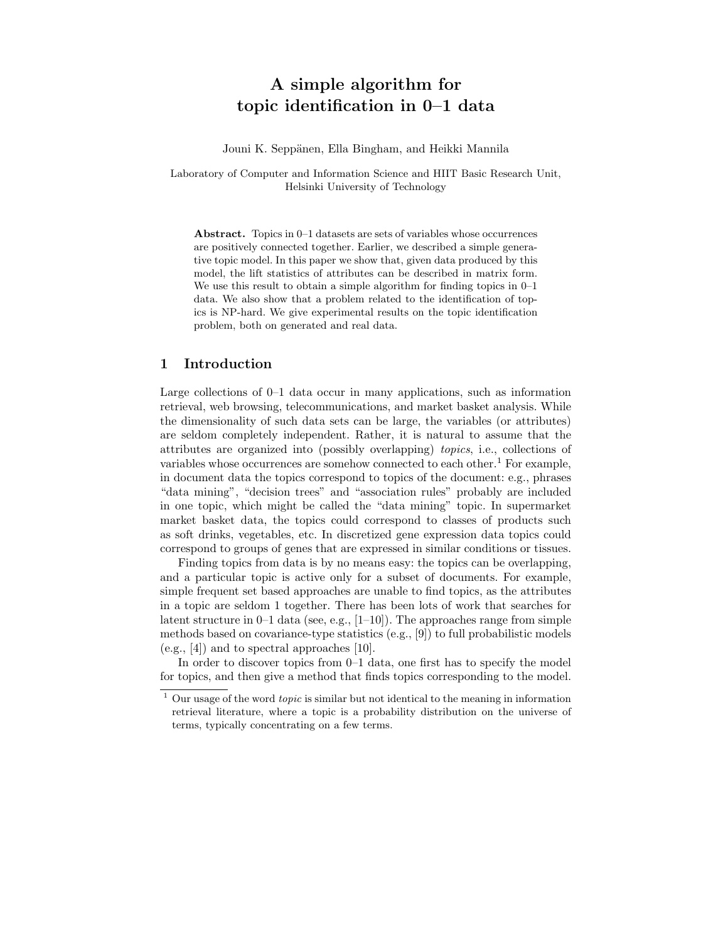# A simple algorithm for topic identification in 0–1 data

Jouni K. Seppänen, Ella Bingham, and Heikki Mannila

Laboratory of Computer and Information Science and HIIT Basic Research Unit, Helsinki University of Technology

Abstract. Topics in 0–1 datasets are sets of variables whose occurrences are positively connected together. Earlier, we described a simple generative topic model. In this paper we show that, given data produced by this model, the lift statistics of attributes can be described in matrix form. We use this result to obtain a simple algorithm for finding topics in 0–1 data. We also show that a problem related to the identification of topics is NP-hard. We give experimental results on the topic identification problem, both on generated and real data.

## 1 Introduction

Large collections of 0–1 data occur in many applications, such as information retrieval, web browsing, telecommunications, and market basket analysis. While the dimensionality of such data sets can be large, the variables (or attributes) are seldom completely independent. Rather, it is natural to assume that the attributes are organized into (possibly overlapping) topics, i.e., collections of variables whose occurrences are somehow connected to each other.<sup>1</sup> For example, in document data the topics correspond to topics of the document: e.g., phrases "data mining", "decision trees" and "association rules" probably are included in one topic, which might be called the "data mining" topic. In supermarket market basket data, the topics could correspond to classes of products such as soft drinks, vegetables, etc. In discretized gene expression data topics could correspond to groups of genes that are expressed in similar conditions or tissues.

Finding topics from data is by no means easy: the topics can be overlapping, and a particular topic is active only for a subset of documents. For example, simple frequent set based approaches are unable to find topics, as the attributes in a topic are seldom 1 together. There has been lots of work that searches for latent structure in  $0-1$  data (see, e.g.,  $[1-10]$ ). The approaches range from simple methods based on covariance-type statistics (e.g., [9]) to full probabilistic models (e.g., [4]) and to spectral approaches [10].

In order to discover topics from 0–1 data, one first has to specify the model for topics, and then give a method that finds topics corresponding to the model.

 $1$  Our usage of the word *topic* is similar but not identical to the meaning in information retrieval literature, where a topic is a probability distribution on the universe of terms, typically concentrating on a few terms.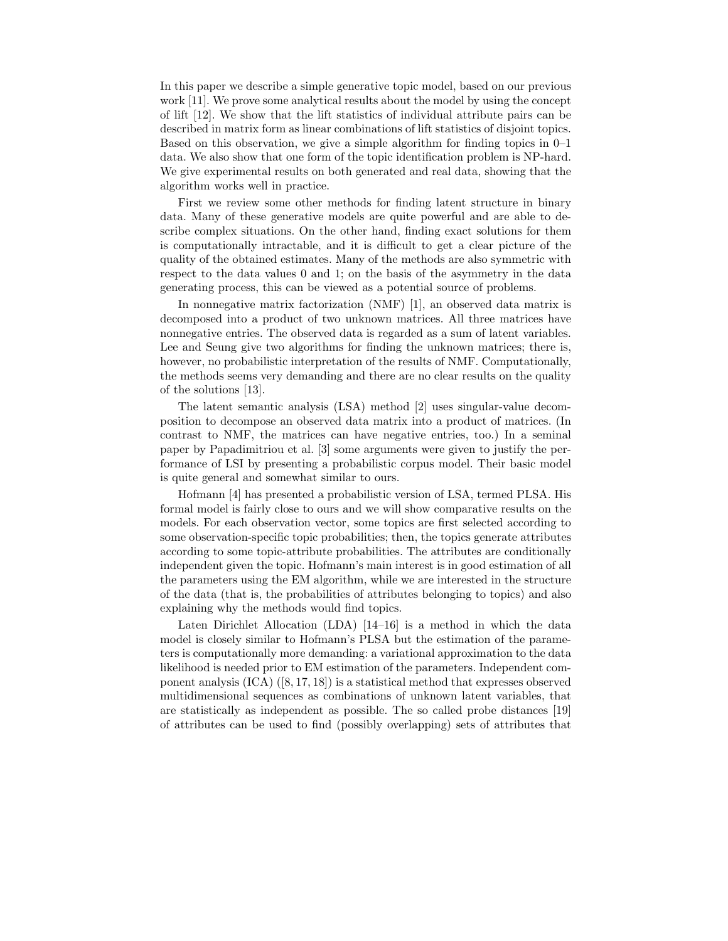In this paper we describe a simple generative topic model, based on our previous work [11]. We prove some analytical results about the model by using the concept of lift [12]. We show that the lift statistics of individual attribute pairs can be described in matrix form as linear combinations of lift statistics of disjoint topics. Based on this observation, we give a simple algorithm for finding topics in 0–1 data. We also show that one form of the topic identification problem is NP-hard. We give experimental results on both generated and real data, showing that the algorithm works well in practice.

First we review some other methods for finding latent structure in binary data. Many of these generative models are quite powerful and are able to describe complex situations. On the other hand, finding exact solutions for them is computationally intractable, and it is difficult to get a clear picture of the quality of the obtained estimates. Many of the methods are also symmetric with respect to the data values 0 and 1; on the basis of the asymmetry in the data generating process, this can be viewed as a potential source of problems.

In nonnegative matrix factorization (NMF) [1], an observed data matrix is decomposed into a product of two unknown matrices. All three matrices have nonnegative entries. The observed data is regarded as a sum of latent variables. Lee and Seung give two algorithms for finding the unknown matrices; there is, however, no probabilistic interpretation of the results of NMF. Computationally, the methods seems very demanding and there are no clear results on the quality of the solutions [13].

The latent semantic analysis (LSA) method [2] uses singular-value decomposition to decompose an observed data matrix into a product of matrices. (In contrast to NMF, the matrices can have negative entries, too.) In a seminal paper by Papadimitriou et al. [3] some arguments were given to justify the performance of LSI by presenting a probabilistic corpus model. Their basic model is quite general and somewhat similar to ours.

Hofmann [4] has presented a probabilistic version of LSA, termed PLSA. His formal model is fairly close to ours and we will show comparative results on the models. For each observation vector, some topics are first selected according to some observation-specific topic probabilities; then, the topics generate attributes according to some topic-attribute probabilities. The attributes are conditionally independent given the topic. Hofmann's main interest is in good estimation of all the parameters using the EM algorithm, while we are interested in the structure of the data (that is, the probabilities of attributes belonging to topics) and also explaining why the methods would find topics.

Laten Dirichlet Allocation (LDA) [14–16] is a method in which the data model is closely similar to Hofmann's PLSA but the estimation of the parameters is computationally more demanding: a variational approximation to the data likelihood is needed prior to EM estimation of the parameters. Independent component analysis (ICA) ([8, 17, 18]) is a statistical method that expresses observed multidimensional sequences as combinations of unknown latent variables, that are statistically as independent as possible. The so called probe distances [19] of attributes can be used to find (possibly overlapping) sets of attributes that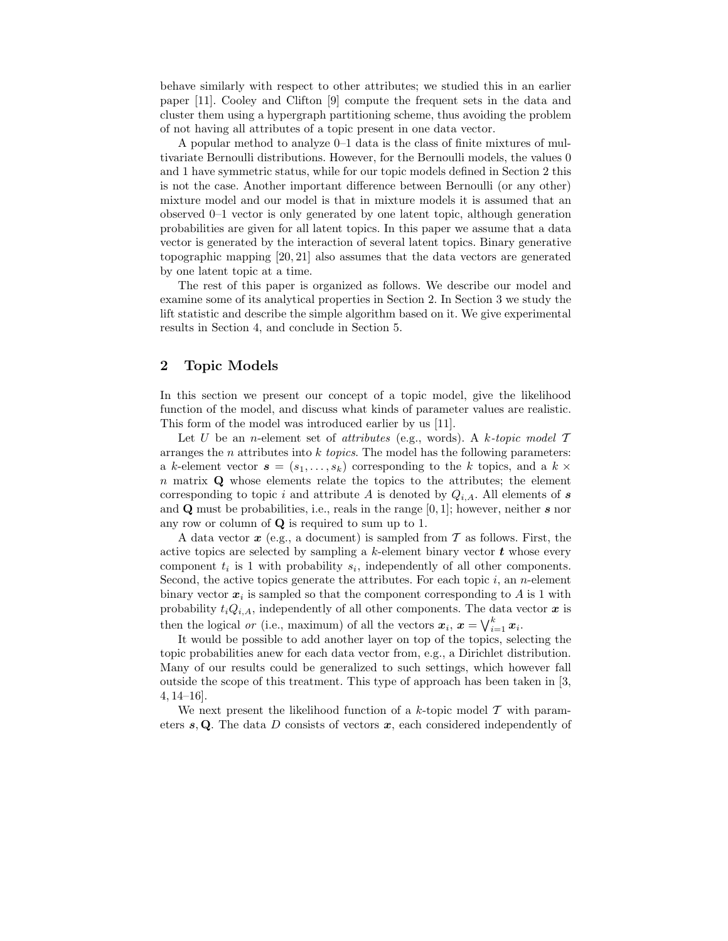behave similarly with respect to other attributes; we studied this in an earlier paper [11]. Cooley and Clifton [9] compute the frequent sets in the data and cluster them using a hypergraph partitioning scheme, thus avoiding the problem of not having all attributes of a topic present in one data vector.

A popular method to analyze 0–1 data is the class of finite mixtures of multivariate Bernoulli distributions. However, for the Bernoulli models, the values 0 and 1 have symmetric status, while for our topic models defined in Section 2 this is not the case. Another important difference between Bernoulli (or any other) mixture model and our model is that in mixture models it is assumed that an observed 0–1 vector is only generated by one latent topic, although generation probabilities are given for all latent topics. In this paper we assume that a data vector is generated by the interaction of several latent topics. Binary generative topographic mapping [20, 21] also assumes that the data vectors are generated by one latent topic at a time.

The rest of this paper is organized as follows. We describe our model and examine some of its analytical properties in Section 2. In Section 3 we study the lift statistic and describe the simple algorithm based on it. We give experimental results in Section 4, and conclude in Section 5.

## 2 Topic Models

In this section we present our concept of a topic model, give the likelihood function of the model, and discuss what kinds of parameter values are realistic. This form of the model was introduced earlier by us [11].

Let U be an *n*-element set of *attributes* (e.g., words). A k-topic model  $T$ arranges the  $n$  attributes into  $k$  topics. The model has the following parameters: a k-element vector  $\mathbf{s} = (s_1, \ldots, s_k)$  corresponding to the k topics, and a k  $\times$  $n$  matrix  $Q$  whose elements relate the topics to the attributes; the element corresponding to topic i and attribute A is denoted by  $Q_{i,A}$ . All elements of s and **Q** must be probabilities, i.e., reals in the range  $[0, 1]$ ; however, neither s nor any row or column of Q is required to sum up to 1.

A data vector  $x$  (e.g., a document) is sampled from  $\mathcal T$  as follows. First, the active topics are selected by sampling a k-element binary vector  $t$  whose every component  $t_i$  is 1 with probability  $s_i$ , independently of all other components. Second, the active topics generate the attributes. For each topic  $i$ , an *n*-element binary vector  $x_i$  is sampled so that the component corresponding to A is 1 with probability  $t_iQ_{i,A}$ , independently of all other components. The data vector  $\boldsymbol{x}$  is then the logical *or* (i.e., maximum) of all the vectors  $x_i$ ,  $x = \bigvee_{i=1}^k x_i$ .

It would be possible to add another layer on top of the topics, selecting the topic probabilities anew for each data vector from, e.g., a Dirichlet distribution. Many of our results could be generalized to such settings, which however fall outside the scope of this treatment. This type of approach has been taken in [3, 4, 14–16].

We next present the likelihood function of a k-topic model  $\mathcal T$  with parameters  $s, Q$ . The data D consists of vectors  $x$ , each considered independently of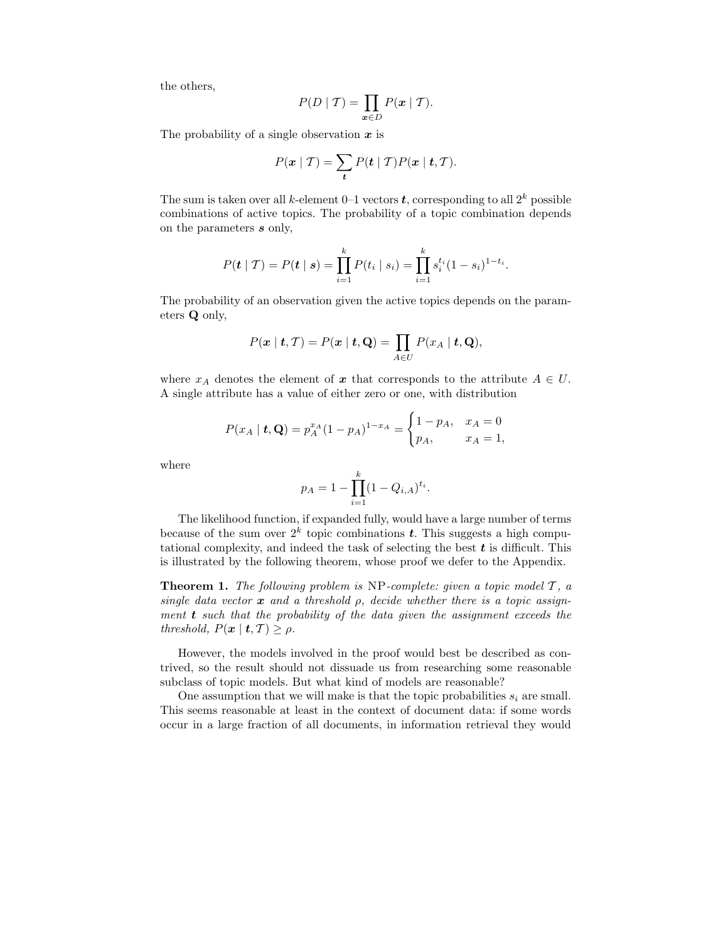the others,

$$
P(D | \mathcal{T}) = \prod_{\mathbf{x} \in D} P(\mathbf{x} | \mathcal{T}).
$$

The probability of a single observation  $x$  is

$$
P(\mathbf{x} \mid \mathcal{T}) = \sum_{t} P(t \mid \mathcal{T}) P(\mathbf{x} \mid t, \mathcal{T}).
$$

The sum is taken over all k-element 0–1 vectors t, corresponding to all  $2^k$  possible combinations of active topics. The probability of a topic combination depends on the parameters s only,

$$
P(\mathbf{t} \mid \mathcal{T}) = P(\mathbf{t} \mid \mathbf{s}) = \prod_{i=1}^{k} P(t_i \mid s_i) = \prod_{i=1}^{k} s_i^{t_i} (1 - s_i)^{1 - t_i}.
$$

The probability of an observation given the active topics depends on the parameters Q only,

$$
P(\mathbf{x} \mid \mathbf{t}, \mathcal{T}) = P(\mathbf{x} \mid \mathbf{t}, \mathbf{Q}) = \prod_{A \in U} P(x_A \mid \mathbf{t}, \mathbf{Q}),
$$

where  $x_A$  denotes the element of x that corresponds to the attribute  $A \in U$ . A single attribute has a value of either zero or one, with distribution

$$
P(x_A | t, \mathbf{Q}) = p_A^{x_A} (1 - p_A)^{1 - x_A} = \begin{cases} 1 - p_A, & x_A = 0 \\ p_A, & x_A = 1, \end{cases}
$$

where

$$
p_A = 1 - \prod_{i=1}^{k} (1 - Q_{i,A})^{t_i}.
$$

The likelihood function, if expanded fully, would have a large number of terms because of the sum over  $2^k$  topic combinations  $t$ . This suggests a high computational complexity, and indeed the task of selecting the best  $t$  is difficult. This is illustrated by the following theorem, whose proof we defer to the Appendix.

**Theorem 1.** The following problem is NP-complete: given a topic model  $T$ , a single data vector  $\boldsymbol{x}$  and a threshold  $\rho$ , decide whether there is a topic assignment  $t$  such that the probability of the data given the assignment exceeds the threshold,  $P(\mathbf{x} \mid \mathbf{t}, \mathcal{T}) \geq \rho$ .

However, the models involved in the proof would best be described as contrived, so the result should not dissuade us from researching some reasonable subclass of topic models. But what kind of models are reasonable?

One assumption that we will make is that the topic probabilities  $s_i$  are small. This seems reasonable at least in the context of document data: if some words occur in a large fraction of all documents, in information retrieval they would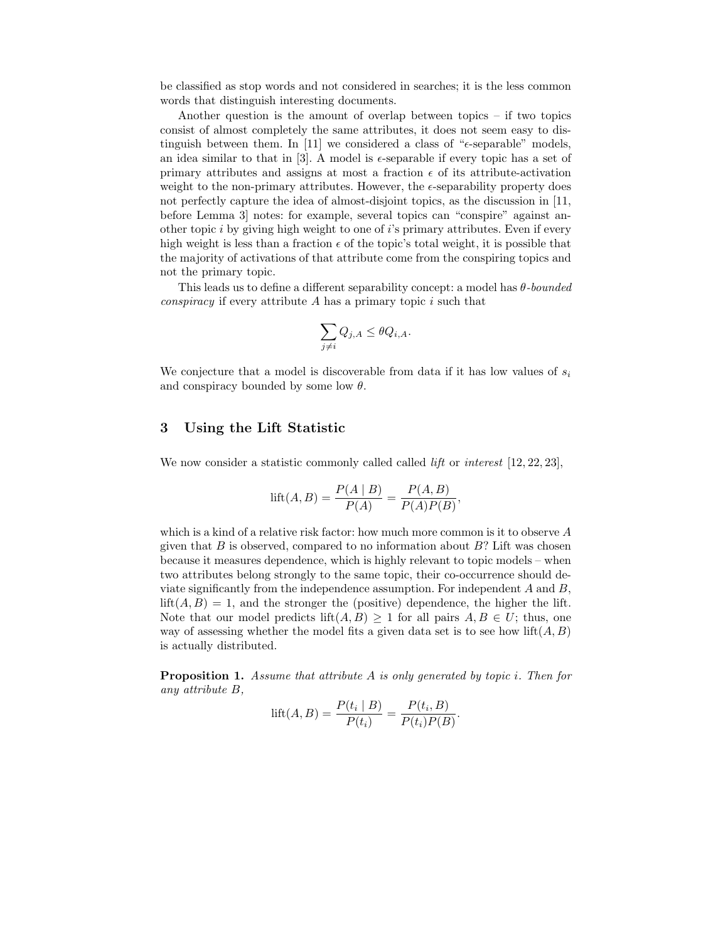be classified as stop words and not considered in searches; it is the less common words that distinguish interesting documents.

Another question is the amount of overlap between topics  $-$  if two topics consist of almost completely the same attributes, it does not seem easy to distinguish between them. In [11] we considered a class of " $\epsilon$ -separable" models, an idea similar to that in [3]. A model is  $\epsilon$ -separable if every topic has a set of primary attributes and assigns at most a fraction  $\epsilon$  of its attribute-activation weight to the non-primary attributes. However, the  $\epsilon$ -separability property does not perfectly capture the idea of almost-disjoint topics, as the discussion in [11, before Lemma 3] notes: for example, several topics can "conspire" against another topic  $i$  by giving high weight to one of  $i$ 's primary attributes. Even if every high weight is less than a fraction  $\epsilon$  of the topic's total weight, it is possible that the majority of activations of that attribute come from the conspiring topics and not the primary topic.

This leads us to define a different separability concept: a model has  $\theta$ -bounded *conspiracy* if every attribute  $\vec{A}$  has a primary topic  $i$  such that

$$
\sum_{j \neq i} Q_{j,A} \leq \theta Q_{i,A}.
$$

We conjecture that a model is discoverable from data if it has low values of  $s_i$ and conspiracy bounded by some low  $\theta$ .

#### 3 Using the Lift Statistic

We now consider a statistic commonly called called *lift* or *interest* [12, 22, 23],

$$
lift(A, B) = \frac{P(A \mid B)}{P(A)} = \frac{P(A, B)}{P(A)P(B)},
$$

which is a kind of a relative risk factor: how much more common is it to observe A given that  $B$  is observed, compared to no information about  $B$ ? Lift was chosen because it measures dependence, which is highly relevant to topic models – when two attributes belong strongly to the same topic, their co-occurrence should deviate significantly from the independence assumption. For independent  $A$  and  $B$ ,  $\text{lift}(A, B) = 1$ , and the stronger the (positive) dependence, the higher the lift. Note that our model predicts lift( $A, B$ ) > 1 for all pairs  $A, B \in U$ ; thus, one way of assessing whether the model fits a given data set is to see how  $\text{lift}(A, B)$ is actually distributed.

**Proposition 1.** Assume that attribute A is only generated by topic i. Then for any attribute B,

$$
lift(A, B) = \frac{P(t_i | B)}{P(t_i)} = \frac{P(t_i, B)}{P(t_i)P(B)}.
$$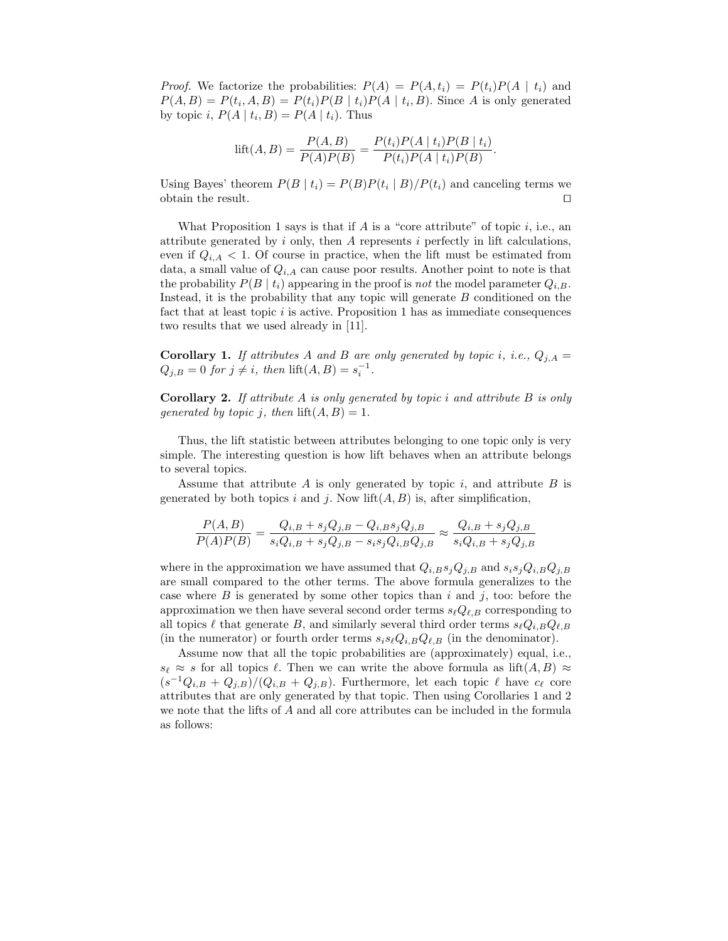*Proof.* We factorize the probabilities:  $P(A) = P(A, t_i) = P(t_i)P(A | t_i)$  and  $P(A, B) = P(t_i, A, B) = P(t_i)P(B | t_i)P(A | t_i, B)$ . Since A is only generated by topic *i*,  $P(A | t_i, B) = P(A | t_i)$ . Thus

$$
lift(A, B) = \frac{P(A, B)}{P(A)P(B)} = \frac{P(t_i)P(A | t_i)P(B | t_i)}{P(t_i)P(A | t_i)P(B)}.
$$

Using Bayes' theorem  $P(B | t_i) = P(B)P(t_i | B)/P(t_i)$  and canceling terms we obtain the result.  $\Box$ 

What Proposition 1 says is that if  $A$  is a "core attribute" of topic  $i$ , i.e., an attribute generated by  $i$  only, then  $A$  represents  $i$  perfectly in lift calculations, even if  $Q_{i,A}$  < 1. Of course in practice, when the lift must be estimated from data, a small value of  $Q_{i,A}$  can cause poor results. Another point to note is that the probability  $P(B | t_i)$  appearing in the proof is not the model parameter  $Q_{i,B}$ . Instead, it is the probability that any topic will generate B conditioned on the fact that at least topic *i* is active. Proposition 1 has as immediate consequences two results that we used already in [11].

**Corollary 1.** If attributes A and B are only generated by topic i, i.e.,  $Q_{j,A}$  =  $Q_{j,B} = 0$  for  $j \neq i$ , then  $\text{lift}(A, B) = s_i^{-1}$ .

**Corollary 2.** If attribute A is only generated by topic i and attribute B is only generated by topic j, then  $\text{lift}(A, B) = 1$ .

Thus, the lift statistic between attributes belonging to one topic only is very simple. The interesting question is how lift behaves when an attribute belongs to several topics.

Assume that attribute  $A$  is only generated by topic  $i$ , and attribute  $B$  is generated by both topics i and j. Now  $\text{lift}(A, B)$  is, after simplification,

$$
\frac{P(A,B)}{P(A)P(B)} = \frac{Q_{i,B} + s_j Q_{j,B} - Q_{i,B} s_j Q_{j,B}}{s_i Q_{i,B} + s_j Q_{j,B} - s_i s_j Q_{i,B} Q_{j,B}} \approx \frac{Q_{i,B} + s_j Q_{j,B}}{s_i Q_{i,B} + s_j Q_{j,B}}
$$

where in the approximation we have assumed that  $Q_{i,B}s_jQ_{j,B}$  and  $s_is_jQ_{i,B}Q_{j,B}$ are small compared to the other terms. The above formula generalizes to the case where  $B$  is generated by some other topics than i and j, too: before the approximation we then have several second order terms  $s_{\ell}Q_{\ell,B}$  corresponding to all topics  $\ell$  that generate B, and similarly several third order terms  $s_{\ell}Q_{i,B}Q_{\ell,B}$ (in the numerator) or fourth order terms  $s_i s_\ell Q_{i,B} Q_{\ell,B}$  (in the denominator).

Assume now that all the topic probabilities are (approximately) equal, i.e.,  $s_{\ell} \approx s$  for all topics  $\ell$ . Then we can write the above formula as lift $(A, B) \approx$  $(s^{-1}Q_{i,B} + Q_{j,B})/(Q_{i,B} + Q_{j,B})$ . Furthermore, let each topic  $\ell$  have  $c_{\ell}$  core attributes that are only generated by that topic. Then using Corollaries 1 and 2 we note that the lifts of A and all core attributes can be included in the formula as follows: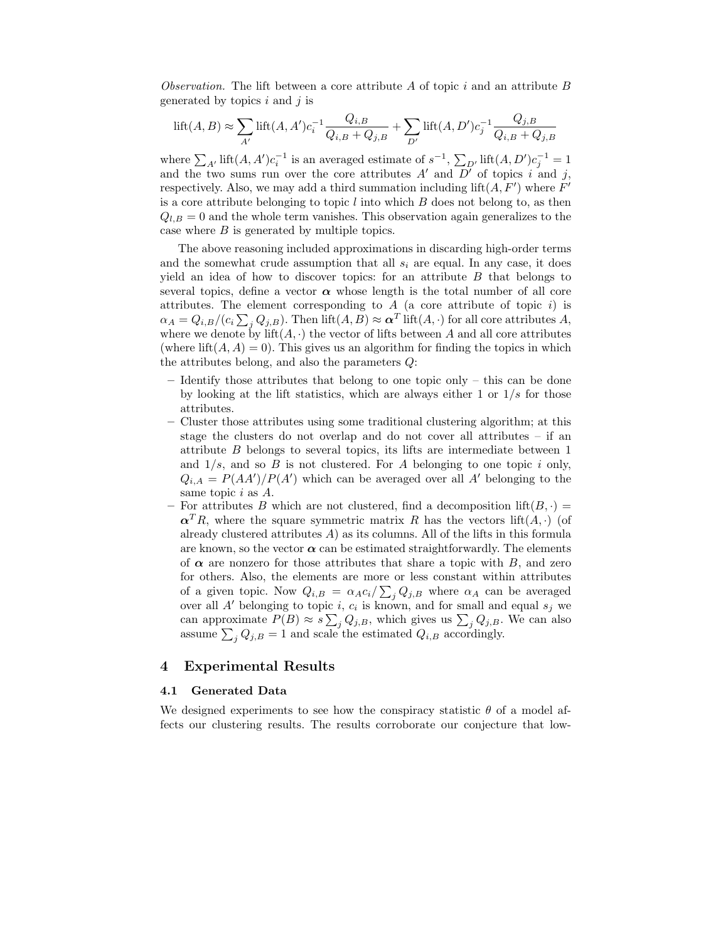Observation. The lift between a core attribute A of topic i and an attribute B generated by topics  $i$  and  $j$  is

$$
\text{lift}(A, B) \approx \sum_{A'} \text{lift}(A, A') c_i^{-1} \frac{Q_{i,B}}{Q_{i,B} + Q_{j,B}} + \sum_{D'} \text{lift}(A, D') c_j^{-1} \frac{Q_{j,B}}{Q_{i,B} + Q_{j,B}}
$$

where  $\sum_{A'} \text{lift}(A, A') c_i^{-1}$  is an averaged estimate of  $s^{-1}$ ,  $\sum_{D'} \text{lift}(A, D') c_j^{-1} = 1$ and the two sums run over the core attributes A' and  $D^{\dagger}$  of topics i and j, respectively. Also, we may add a third summation including  $\text{lift}(A, F')$  where  $F'$ is a core attribute belonging to topic  $l$  into which  $B$  does not belong to, as then  $Q_{l,B} = 0$  and the whole term vanishes. This observation again generalizes to the case where  $B$  is generated by multiple topics.

The above reasoning included approximations in discarding high-order terms and the somewhat crude assumption that all  $s_i$  are equal. In any case, it does yield an idea of how to discover topics: for an attribute  $B$  that belongs to several topics, define a vector  $\alpha$  whose length is the total number of all core attributes. The element corresponding to  $A$  (a core attribute of topic i) is  $\alpha_A = Q_{i,B}/(c_i \sum_j Q_{j,B})$ . Then  $\text{lift}(A, B) \approx \boldsymbol{\alpha}^T \text{ lift}(A, \cdot)$  for all core attributes A, where we denote by  $\text{lift}(A, \cdot)$  the vector of lifts between A and all core attributes (where lift( $A, A$ ) = 0). This gives us an algorithm for finding the topics in which the attributes belong, and also the parameters Q:

- Identify those attributes that belong to one topic only this can be done by looking at the lift statistics, which are always either 1 or  $1/s$  for those attributes.
- Cluster those attributes using some traditional clustering algorithm; at this stage the clusters do not overlap and do not cover all attributes – if an attribute B belongs to several topics, its lifts are intermediate between 1 and  $1/s$ , and so  $B$  is not clustered. For  $A$  belonging to one topic  $i$  only,  $Q_{i,A} = P(AA')/P(A')$  which can be averaged over all A' belonging to the same topic i as A.
- For attributes B which are not clustered, find a decomposition lift $(B, \cdot)$  =  $\alpha^T R$ , where the square symmetric matrix R has the vectors lift(A, ·) (of already clustered attributes  $A$ ) as its columns. All of the lifts in this formula are known, so the vector  $\alpha$  can be estimated straightforwardly. The elements of  $\alpha$  are nonzero for those attributes that share a topic with B, and zero for others. Also, the elements are more or less constant within attributes of a given topic. Now  $Q_{i,B} = \alpha_A c_i / \sum_j Q_{j,B}$  where  $\alpha_A$  can be averaged over all A' belonging to topic i,  $c_i$  is known, and for small and equal  $s_j$  we can approximate  $P(B) \approx s \sum_j Q_{j,B}$ , which gives us  $\sum_j Q_{j,B}$ . We can also assume  $\sum_j Q_{j,B} = 1$  and scale the estimated  $Q_{i,B}$  accordingly.

## 4 Experimental Results

#### 4.1 Generated Data

We designed experiments to see how the conspiracy statistic  $\theta$  of a model affects our clustering results. The results corroborate our conjecture that low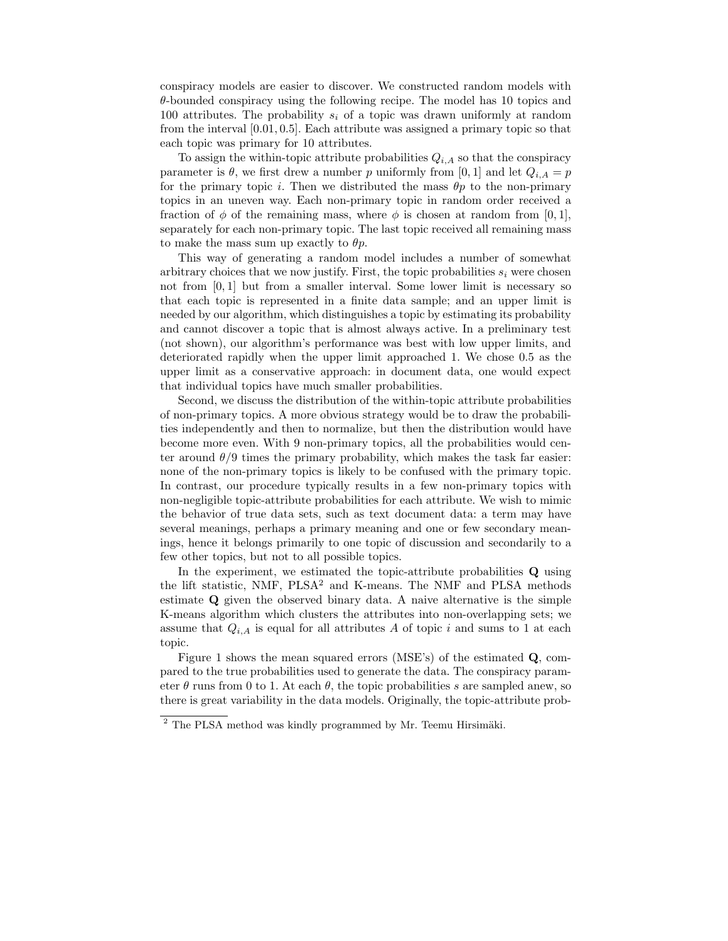conspiracy models are easier to discover. We constructed random models with  $\theta$ -bounded conspiracy using the following recipe. The model has 10 topics and 100 attributes. The probability  $s_i$  of a topic was drawn uniformly at random from the interval [0.01, 0.5]. Each attribute was assigned a primary topic so that each topic was primary for 10 attributes.

To assign the within-topic attribute probabilities  $Q_{i,A}$  so that the conspiracy parameter is  $\theta$ , we first drew a number p uniformly from [0, 1] and let  $Q_{i,A} = p$ for the primary topic i. Then we distributed the mass  $\theta p$  to the non-primary topics in an uneven way. Each non-primary topic in random order received a fraction of  $\phi$  of the remaining mass, where  $\phi$  is chosen at random from [0, 1], separately for each non-primary topic. The last topic received all remaining mass to make the mass sum up exactly to  $\theta p$ .

This way of generating a random model includes a number of somewhat arbitrary choices that we now justify. First, the topic probabilities  $s_i$  were chosen not from [0, 1] but from a smaller interval. Some lower limit is necessary so that each topic is represented in a finite data sample; and an upper limit is needed by our algorithm, which distinguishes a topic by estimating its probability and cannot discover a topic that is almost always active. In a preliminary test (not shown), our algorithm's performance was best with low upper limits, and deteriorated rapidly when the upper limit approached 1. We chose 0.5 as the upper limit as a conservative approach: in document data, one would expect that individual topics have much smaller probabilities.

Second, we discuss the distribution of the within-topic attribute probabilities of non-primary topics. A more obvious strategy would be to draw the probabilities independently and then to normalize, but then the distribution would have become more even. With 9 non-primary topics, all the probabilities would center around  $\theta/9$  times the primary probability, which makes the task far easier: none of the non-primary topics is likely to be confused with the primary topic. In contrast, our procedure typically results in a few non-primary topics with non-negligible topic-attribute probabilities for each attribute. We wish to mimic the behavior of true data sets, such as text document data: a term may have several meanings, perhaps a primary meaning and one or few secondary meanings, hence it belongs primarily to one topic of discussion and secondarily to a few other topics, but not to all possible topics.

In the experiment, we estimated the topic-attribute probabilities Q using the lift statistic, NMF, PLSA<sup>2</sup> and K-means. The NMF and PLSA methods estimate Q given the observed binary data. A naive alternative is the simple K-means algorithm which clusters the attributes into non-overlapping sets; we assume that  $Q_{i,A}$  is equal for all attributes A of topic i and sums to 1 at each topic.

Figure 1 shows the mean squared errors (MSE's) of the estimated Q, compared to the true probabilities used to generate the data. The conspiracy parameter  $\theta$  runs from 0 to 1. At each  $\theta$ , the topic probabilities s are sampled anew, so there is great variability in the data models. Originally, the topic-attribute prob-

 $2$  The PLSA method was kindly programmed by Mr. Teemu Hirsimäki.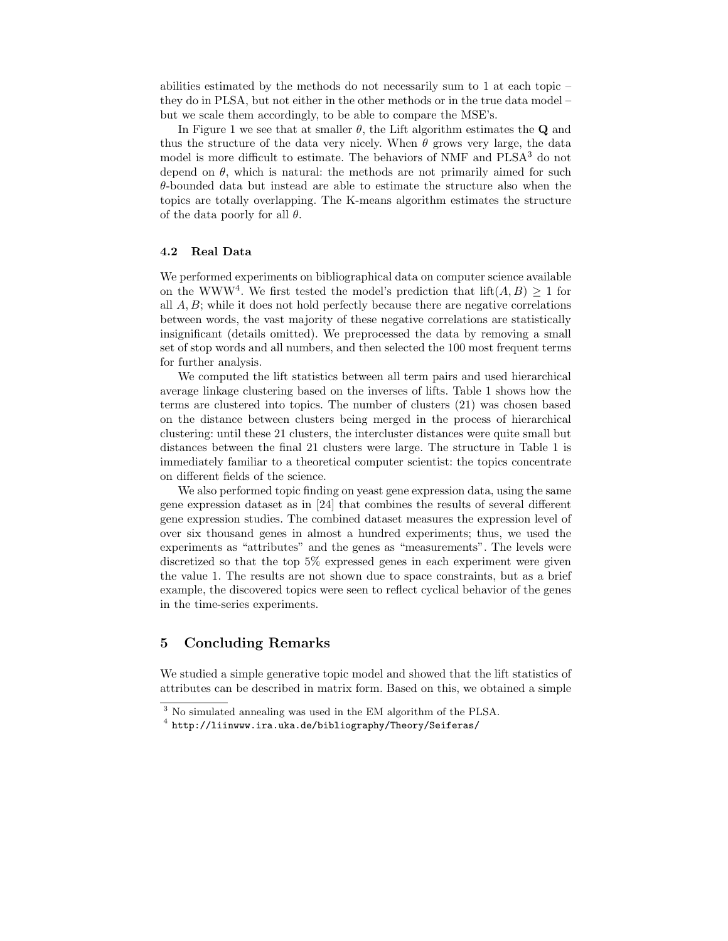abilities estimated by the methods do not necessarily sum to 1 at each topic – they do in PLSA, but not either in the other methods or in the true data model – but we scale them accordingly, to be able to compare the MSE's.

In Figure 1 we see that at smaller  $\theta$ , the Lift algorithm estimates the Q and thus the structure of the data very nicely. When  $\theta$  grows very large, the data model is more difficult to estimate. The behaviors of NMF and PLSA<sup>3</sup> do not depend on  $\theta$ , which is natural: the methods are not primarily aimed for such  $\theta$ -bounded data but instead are able to estimate the structure also when the topics are totally overlapping. The K-means algorithm estimates the structure of the data poorly for all  $\theta$ .

#### 4.2 Real Data

We performed experiments on bibliographical data on computer science available on the WWW<sup>4</sup>. We first tested the model's prediction that  $\text{lift}(A, B) \geq 1$  for all  $A, B$ ; while it does not hold perfectly because there are negative correlations between words, the vast majority of these negative correlations are statistically insignificant (details omitted). We preprocessed the data by removing a small set of stop words and all numbers, and then selected the 100 most frequent terms for further analysis.

We computed the lift statistics between all term pairs and used hierarchical average linkage clustering based on the inverses of lifts. Table 1 shows how the terms are clustered into topics. The number of clusters (21) was chosen based on the distance between clusters being merged in the process of hierarchical clustering: until these 21 clusters, the intercluster distances were quite small but distances between the final 21 clusters were large. The structure in Table 1 is immediately familiar to a theoretical computer scientist: the topics concentrate on different fields of the science.

We also performed topic finding on yeast gene expression data, using the same gene expression dataset as in [24] that combines the results of several different gene expression studies. The combined dataset measures the expression level of over six thousand genes in almost a hundred experiments; thus, we used the experiments as "attributes" and the genes as "measurements". The levels were discretized so that the top 5% expressed genes in each experiment were given the value 1. The results are not shown due to space constraints, but as a brief example, the discovered topics were seen to reflect cyclical behavior of the genes in the time-series experiments.

# 5 Concluding Remarks

We studied a simple generative topic model and showed that the lift statistics of attributes can be described in matrix form. Based on this, we obtained a simple

<sup>3</sup> No simulated annealing was used in the EM algorithm of the PLSA.

<sup>4</sup> http://liinwww.ira.uka.de/bibliography/Theory/Seiferas/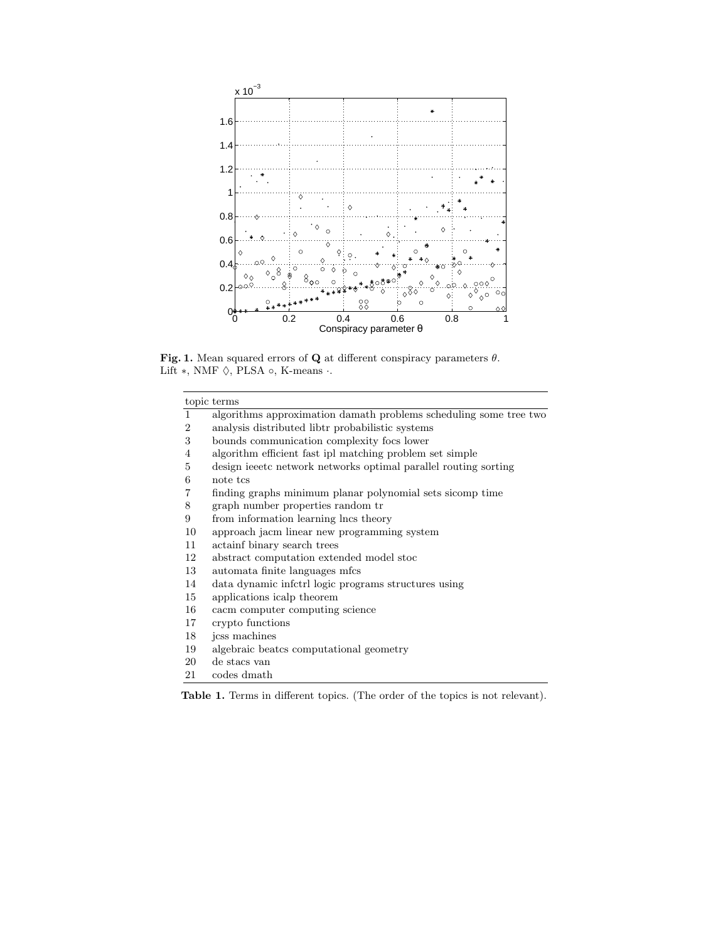

Fig. 1. Mean squared errors of  ${\bf Q}$  at different conspiracy parameters  $\theta.$ Lift ∗, NMF  $\Diamond,$  PLSA  $\circ,$  K-means  $\cdot.$ 

| $\mathbf{1}$   | algorithms approximation damath problems scheduling some tree two |
|----------------|-------------------------------------------------------------------|
| $\overline{2}$ | analysis distributed libtr probabilistic systems                  |
| 3              | bounds communication complexity focs lower                        |
| 4              | algorithm efficient fast ipl matching problem set simple          |
| 5              | design ieeetc network networks optimal parallel routing sorting   |
| 6              | note tcs                                                          |
| 7              | finding graphs minimum planar polynomial sets sicomp time         |
| 8              | graph number properties random tr                                 |
| 9              | from information learning lncs theory                             |
| 10             | approach jacm linear new programming system                       |
| 11             | actainf binary search trees                                       |
| 12             | abstract computation extended model stoc                          |
| 13             | automata finite languages mfcs                                    |
| 14             | data dynamic infetri logic programs structures using              |
| 15             | applications icalp theorem                                        |
| 16             | cacm computer computing science                                   |
| 17             | crypto functions                                                  |
| 18             | jcss machines                                                     |
| 19             | algebraic beatcs computational geometry                           |
| 20             | de stacs van                                                      |
| 21             | codes dmath                                                       |

Table 1. Terms in different topics. (The order of the topics is not relevant).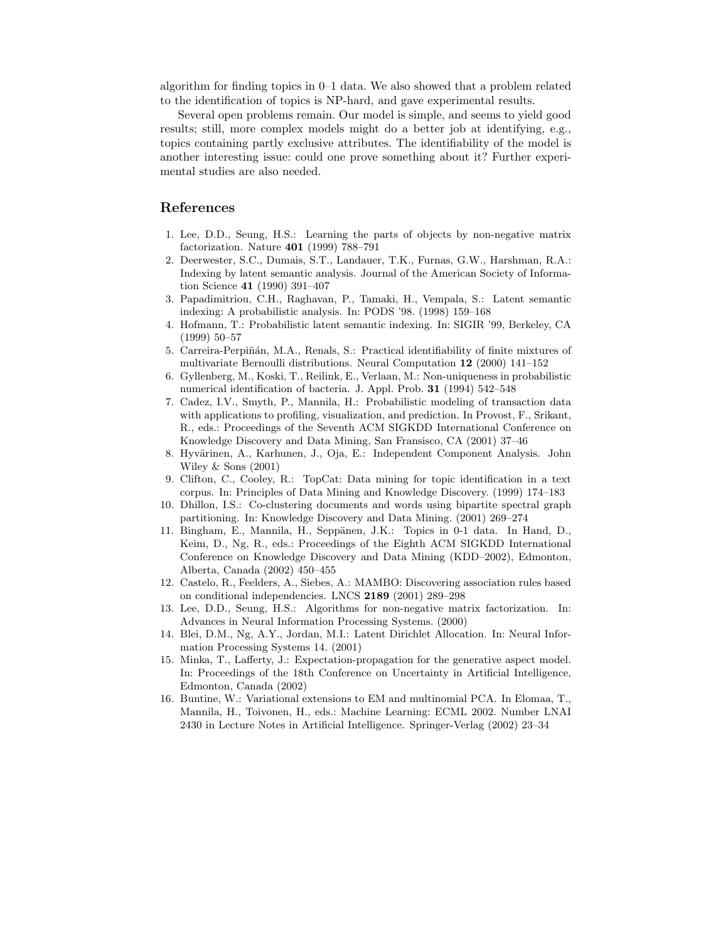algorithm for finding topics in 0–1 data. We also showed that a problem related to the identification of topics is NP-hard, and gave experimental results.

Several open problems remain. Our model is simple, and seems to yield good results; still, more complex models might do a better job at identifying, e.g., topics containing partly exclusive attributes. The identifiability of the model is another interesting issue: could one prove something about it? Further experimental studies are also needed.

## References

- 1. Lee, D.D., Seung, H.S.: Learning the parts of objects by non-negative matrix factorization. Nature 401 (1999) 788–791
- 2. Deerwester, S.C., Dumais, S.T., Landauer, T.K., Furnas, G.W., Harshman, R.A.: Indexing by latent semantic analysis. Journal of the American Society of Information Science 41 (1990) 391–407
- 3. Papadimitriou, C.H., Raghavan, P., Tamaki, H., Vempala, S.: Latent semantic indexing: A probabilistic analysis. In: PODS '98. (1998) 159–168
- 4. Hofmann, T.: Probabilistic latent semantic indexing. In: SIGIR '99, Berkeley, CA (1999) 50–57
- 5. Carreira-Perpiñán, M.A., Renals, S.: Practical identifiability of finite mixtures of multivariate Bernoulli distributions. Neural Computation 12 (2000) 141–152
- 6. Gyllenberg, M., Koski, T., Reilink, E., Verlaan, M.: Non-uniqueness in probabilistic numerical identification of bacteria. J. Appl. Prob. 31 (1994) 542–548
- 7. Cadez, I.V., Smyth, P., Mannila, H.: Probabilistic modeling of transaction data with applications to profiling, visualization, and prediction. In Provost, F., Srikant, R., eds.: Proceedings of the Seventh ACM SIGKDD International Conference on Knowledge Discovery and Data Mining, San Fransisco, CA (2001) 37–46
- 8. Hyvärinen, A., Karhunen, J., Oja, E.: Independent Component Analysis. John Wiley & Sons (2001)
- 9. Clifton, C., Cooley, R.: TopCat: Data mining for topic identification in a text corpus. In: Principles of Data Mining and Knowledge Discovery. (1999) 174–183
- 10. Dhillon, I.S.: Co-clustering documents and words using bipartite spectral graph partitioning. In: Knowledge Discovery and Data Mining. (2001) 269–274
- 11. Bingham, E., Mannila, H., Seppänen, J.K.: Topics in 0-1 data. In Hand, D., Keim, D., Ng, R., eds.: Proceedings of the Eighth ACM SIGKDD International Conference on Knowledge Discovery and Data Mining (KDD–2002), Edmonton, Alberta, Canada (2002) 450–455
- 12. Castelo, R., Feelders, A., Siebes, A.: MAMBO: Discovering association rules based on conditional independencies. LNCS 2189 (2001) 289–298
- 13. Lee, D.D., Seung, H.S.: Algorithms for non-negative matrix factorization. In: Advances in Neural Information Processing Systems. (2000)
- 14. Blei, D.M., Ng, A.Y., Jordan, M.I.: Latent Dirichlet Allocation. In: Neural Information Processing Systems 14. (2001)
- 15. Minka, T., Lafferty, J.: Expectation-propagation for the generative aspect model. In: Proceedings of the 18th Conference on Uncertainty in Artificial Intelligence, Edmonton, Canada (2002)
- 16. Buntine, W.: Variational extensions to EM and multinomial PCA. In Elomaa, T., Mannila, H., Toivonen, H., eds.: Machine Learning: ECML 2002. Number LNAI 2430 in Lecture Notes in Artificial Intelligence. Springer-Verlag (2002) 23–34